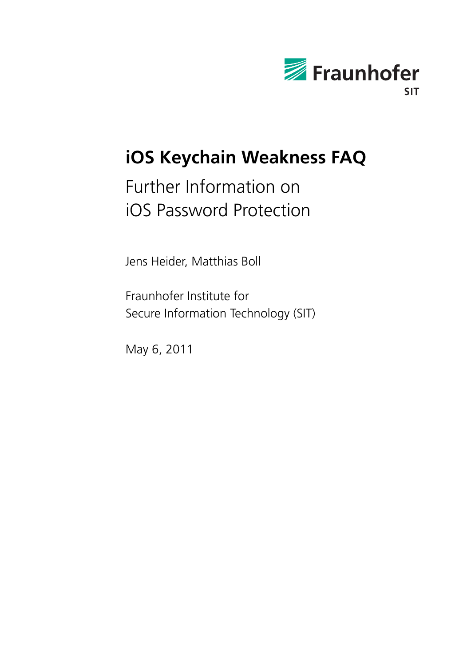

# **iOS Keychain Weakness FAQ**

# Further Information on iOS Password Protection

Jens Heider, Matthias Boll

Fraunhofer Institute for Secure Information Technology (SIT)

May 6, 2011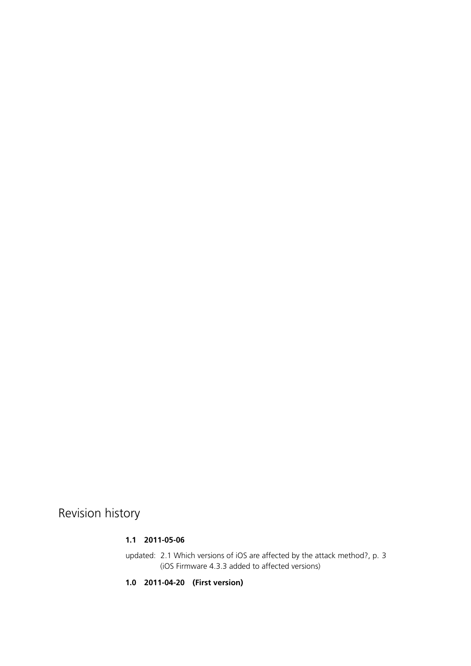Revision history

#### **1.1 2011-05-06**

updated: [2.1](#page-2-0) [Which versions of iOS are affected by the attack method?,](#page-2-0) p. [3](#page-2-0) (iOS Firmware 4.3.3 added to affected versions)

**1.0 2011-04-20 (First version)**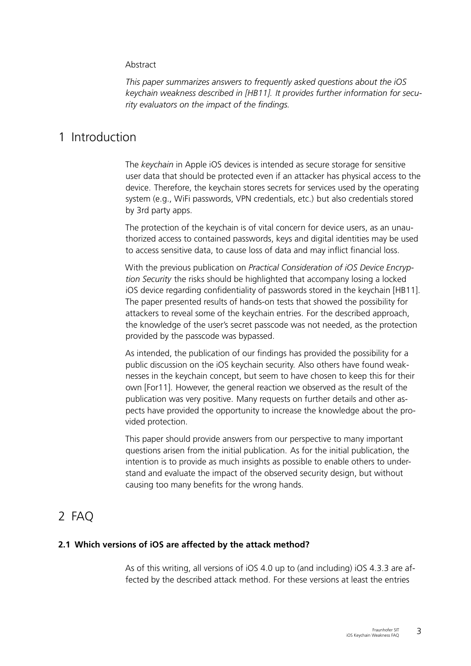#### <span id="page-2-1"></span>Abstract

*This paper summarizes answers to frequently asked questions about the iOS keychain weakness described in [\[HB11\]](#page-8-0). It provides further information for security evaluators on the impact of the findings.*

# 1 Introduction

The *keychain* in Apple iOS devices is intended as secure storage for sensitive user data that should be protected even if an attacker has physical access to the device. Therefore, the keychain stores secrets for services used by the operating system (e.g., WiFi passwords, VPN credentials, etc.) but also credentials stored by 3rd party apps.

The protection of the keychain is of vital concern for device users, as an unauthorized access to contained passwords, keys and digital identities may be used to access sensitive data, to cause loss of data and may inflict financial loss.

With the previous publication on *Practical Consideration of iOS Device Encryption Security* the risks should be highlighted that accompany losing a locked iOS device regarding confidentiality of passwords stored in the keychain [\[HB11\]](#page-8-0). The paper presented results of hands-on tests that showed the possibility for attackers to reveal some of the keychain entries. For the described approach, the knowledge of the user's secret passcode was not needed, as the protection provided by the passcode was bypassed.

As intended, the publication of our findings has provided the possibility for a public discussion on the iOS keychain security. Also others have found weaknesses in the keychain concept, but seem to have chosen to keep this for their own [\[For11\]](#page-8-1). However, the general reaction we observed as the result of the publication was very positive. Many requests on further details and other aspects have provided the opportunity to increase the knowledge about the provided protection.

This paper should provide answers from our perspective to many important questions arisen from the initial publication. As for the initial publication, the intention is to provide as much insights as possible to enable others to understand and evaluate the impact of the observed security design, but without causing too many benefits for the wrong hands.

# 2 FAQ

# **2.1 Which versions of iOS are affected by the attack method?**

<span id="page-2-0"></span>As of this writing, all versions of iOS 4.0 up to (and including) iOS 4.3.3 are affected by the described attack method. For these versions at least the entries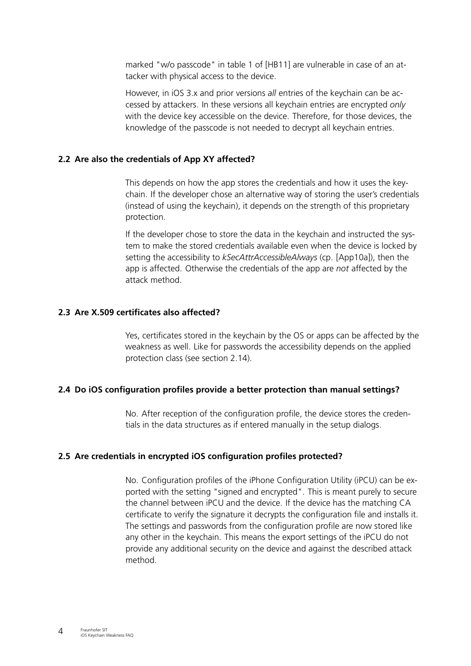<span id="page-3-0"></span>marked "w/o passcode" in table 1 of [\[HB11\]](#page-8-0) are vulnerable in case of an attacker with physical access to the device.

However, in iOS 3.x and prior versions *all* entries of the keychain can be accessed by attackers. In these versions all keychain entries are encrypted *only* with the device key accessible on the device. Therefore, for those devices, the knowledge of the passcode is not needed to decrypt all keychain entries.

# **2.2 Are also the credentials of App XY affected?**

This depends on how the app stores the credentials and how it uses the keychain. If the developer chose an alternative way of storing the user's credentials (instead of using the keychain), it depends on the strength of this proprietary protection.

If the developer chose to store the data in the keychain and instructed the system to make the stored credentials available even when the device is locked by setting the accessibility to *kSecAttrAccessibleAlways* (cp. [\[App10a\]](#page-8-2)), then the app is affected. Otherwise the credentials of the app are *not* affected by the attack method.

# **2.3 Are X.509 certificates also affected?**

Yes, certificates stored in the keychain by the OS or apps can be affected by the weakness as well. Like for passwords the accessibility depends on the applied protection class (see section [2.14\)](#page-6-0).

# **2.4 Do iOS configuration profiles provide a better protection than manual settings?**

No. After reception of the configuration profile, the device stores the credentials in the data structures as if entered manually in the setup dialogs.

# **2.5 Are credentials in encrypted iOS configuration profiles protected?**

No. Configuration profiles of the iPhone Configuration Utility (iPCU) can be exported with the setting "signed and encrypted". This is meant purely to secure the channel between iPCU and the device. If the device has the matching CA certificate to verify the signature it decrypts the configuration file and installs it. The settings and passwords from the configuration profile are now stored like any other in the keychain. This means the export settings of the iPCU do not provide any additional security on the device and against the described attack method.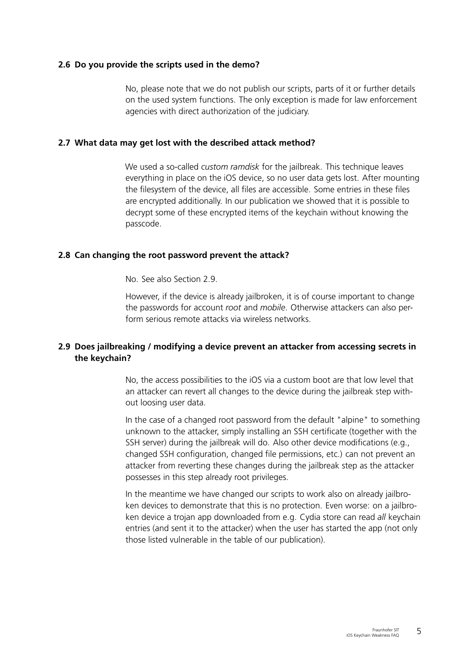#### **2.6 Do you provide the scripts used in the demo?**

No, please note that we do not publish our scripts, parts of it or further details on the used system functions. The only exception is made for law enforcement agencies with direct authorization of the judiciary.

#### **2.7 What data may get lost with the described attack method?**

We used a so-called *custom ramdisk* for the jailbreak. This technique leaves everything in place on the iOS device, so no user data gets lost. After mounting the filesystem of the device, all files are accessible. Some entries in these files are encrypted additionally. In our publication we showed that it is possible to decrypt some of these encrypted items of the keychain without knowing the passcode.

#### **2.8 Can changing the root password prevent the attack?**

No. See also Section [2.9.](#page-4-0)

However, if the device is already jailbroken, it is of course important to change the passwords for account *root* and *mobile*. Otherwise attackers can also perform serious remote attacks via wireless networks.

# **2.9 Does jailbreaking / modifying a device prevent an attacker from accessing secrets in the keychain?**

<span id="page-4-0"></span>No, the access possibilities to the iOS via a custom boot are that low level that an attacker can revert all changes to the device during the jailbreak step without loosing user data.

In the case of a changed root password from the default "alpine" to something unknown to the attacker, simply installing an SSH certificate (together with the SSH server) during the jailbreak will do. Also other device modifications (e.g., changed SSH configuration, changed file permissions, etc.) can not prevent an attacker from reverting these changes during the jailbreak step as the attacker possesses in this step already root privileges.

In the meantime we have changed our scripts to work also on already jailbroken devices to demonstrate that this is no protection. Even worse: on a jailbroken device a trojan app downloaded from e.g. Cydia store can read *all* keychain entries (and sent it to the attacker) when the user has started the app (not only those listed vulnerable in the table of our publication).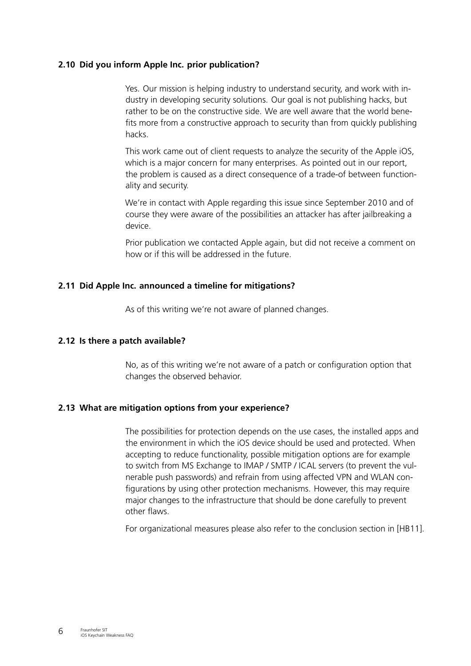# **2.10 Did you inform Apple Inc. prior publication?**

<span id="page-5-0"></span>Yes. Our mission is helping industry to understand security, and work with industry in developing security solutions. Our goal is not publishing hacks, but rather to be on the constructive side. We are well aware that the world benefits more from a constructive approach to security than from quickly publishing hacks.

This work came out of client requests to analyze the security of the Apple iOS, which is a major concern for many enterprises. As pointed out in our report, the problem is caused as a direct consequence of a trade-of between functionality and security.

We're in contact with Apple regarding this issue since September 2010 and of course they were aware of the possibilities an attacker has after jailbreaking a device.

Prior publication we contacted Apple again, but did not receive a comment on how or if this will be addressed in the future.

# **2.11 Did Apple Inc. announced a timeline for mitigations?**

As of this writing we're not aware of planned changes.

# **2.12 Is there a patch available?**

No, as of this writing we're not aware of a patch or configuration option that changes the observed behavior.

# **2.13 What are mitigation options from your experience?**

The possibilities for protection depends on the use cases, the installed apps and the environment in which the iOS device should be used and protected. When accepting to reduce functionality, possible mitigation options are for example to switch from MS Exchange to IMAP / SMTP / ICAL servers (to prevent the vulnerable push passwords) and refrain from using affected VPN and WLAN configurations by using other protection mechanisms. However, this may require major changes to the infrastructure that should be done carefully to prevent other flaws.

For organizational measures please also refer to the conclusion section in [\[HB11\]](#page-8-0).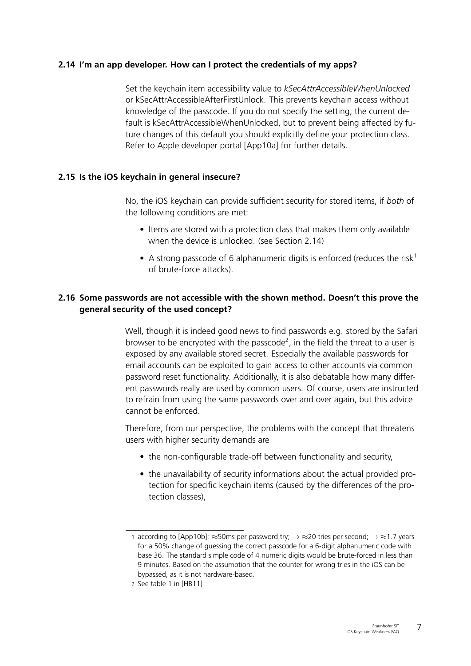# **2.14 I'm an app developer. How can I protect the credentials of my apps?**

<span id="page-6-3"></span><span id="page-6-0"></span>Set the keychain item accessibility value to *kSecAttrAccessibleWhenUnlocked* or kSecAttrAccessibleAfterFirstUnlock. This prevents keychain access without knowledge of the passcode. If you do not specify the setting, the current default is kSecAttrAccessibleWhenUnlocked, but to prevent being affected by future changes of this default you should explicitly define your protection class. Refer to Apple developer portal [\[App10a\]](#page-8-2) for further details.

# **2.15 Is the iOS keychain in general insecure?**

No, the iOS keychain can provide sufficient security for stored items, if *both* of the following conditions are met:

- Items are stored with a protection class that makes them only available when the device is unlocked. (see Section [2.14\)](#page-6-0)
- A strong passcode of 6 alphanumeric digits is enforced (reduces the risk<sup>[1](#page-6-1)</sup>) of brute-force attacks).

# **2.16 Some passwords are not accessible with the shown method. Doesn't this prove the general security of the used concept?**

Well, though it is indeed good news to find passwords e.g. stored by the Safari browser to be encrypted with the passcode<sup>[2](#page-6-2)</sup>, in the field the threat to a user is exposed by any available stored secret. Especially the available passwords for email accounts can be exploited to gain access to other accounts via common password reset functionality. Additionally, it is also debatable how many different passwords really are used by common users. Of course, users are instructed to refrain from using the same passwords over and over again, but this advice cannot be enforced.

Therefore, from our perspective, the problems with the concept that threatens users with higher security demands are

- the non-configurable trade-off between functionality and security,
- the unavailability of security informations about the actual provided protection for specific keychain items (caused by the differences of the protection classes),

<span id="page-6-1"></span><sup>1</sup> according to [\[App10b\]](#page-8-3):  $\approx$ 50ms per password try;  $\rightarrow \approx$ 20 tries per second;  $\rightarrow \approx$ 1.7 years for a 50% change of guessing the correct passcode for a 6-digit alphanumeric code with base 36. The standard simple code of 4 numeric digits would be brute-forced in less than 9 minutes. Based on the assumption that the counter for wrong tries in the iOS can be bypassed, as it is not hardware-based.

<span id="page-6-2"></span><sup>2</sup> See table 1 in [\[HB11\]](#page-8-0)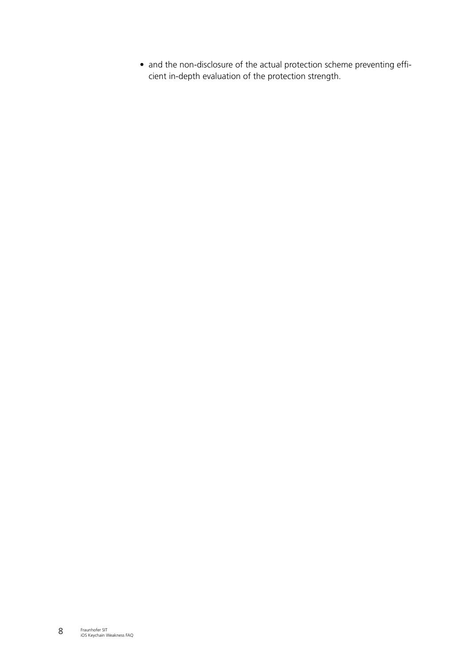• and the non-disclosure of the actual protection scheme preventing efficient in-depth evaluation of the protection strength.